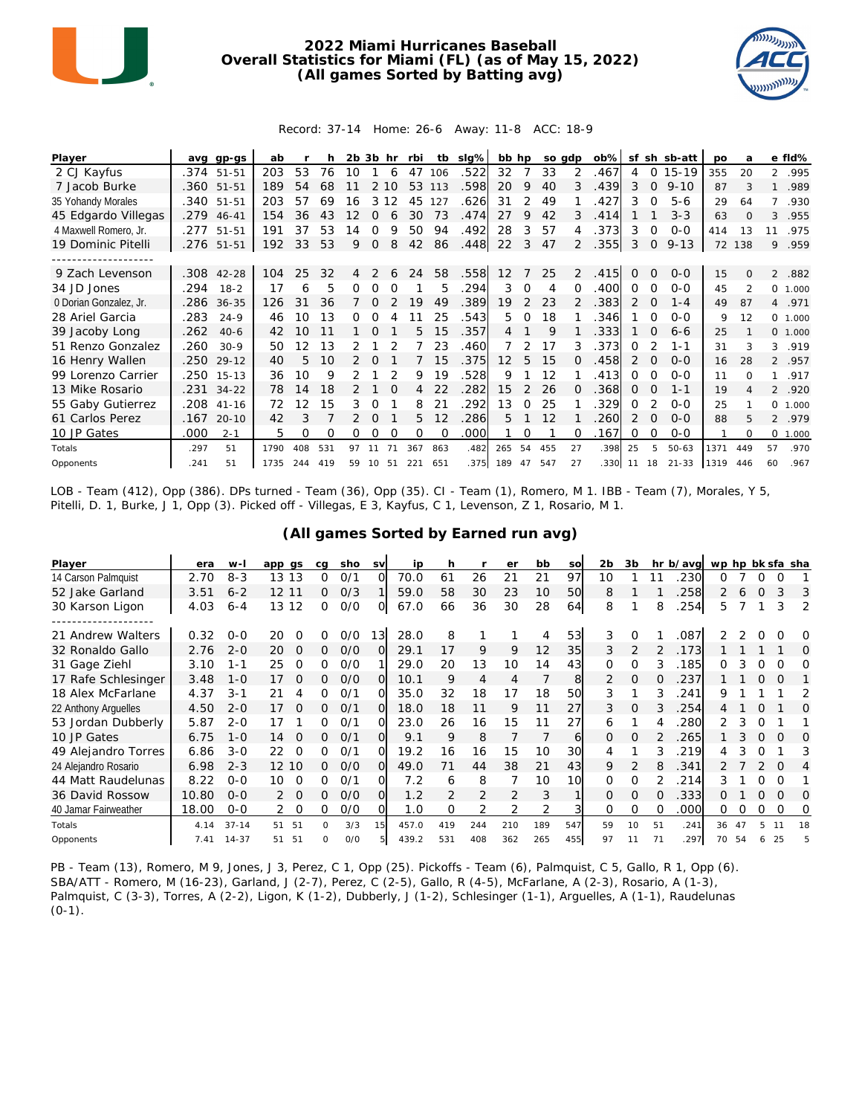

## **2022 Miami Hurricanes Baseball Overall Statistics for Miami (FL) (as of May 15, 2022) (All games Sorted by Batting avg)**



## Record: 37-14 Home: 26-6 Away: 11-8 ACC: 18-9

| Player                 | ava  | gp-gs      | ab   |     |     | 2b | 3b       | hr       | rbi      | tb       | $slq\%$ | bb hp             |               | so gdp |          | $ob\%$ | sf       |          | sh sb-att | po   | a                        |                | e fld%   |
|------------------------|------|------------|------|-----|-----|----|----------|----------|----------|----------|---------|-------------------|---------------|--------|----------|--------|----------|----------|-----------|------|--------------------------|----------------|----------|
| 2 CJ Kayfus            |      | .374 51-51 | 203  | 53  | 76  | 10 |          | 6        | 47       | 106      | .522    | 32                |               | 33     | 2        | .467   | 4        | 0        | $15-19$   | 355  | 20                       | $\overline{2}$ | .995     |
| 7 Jacob Burke          |      | .360 51-51 | 189  | 54  | 68  |    | 2        | 10       | 53       | 113      | .598    | 20                | 9             | 40     | 3        | .439   | 3        | $\Omega$ | $9 - 10$  | 87   | 3                        | 1              | .989     |
| 35 Yohandy Morales     | .340 | $51 - 51$  | 203  | 57  | 69  | 16 | 3        | 12       | 45       | 127      | .626    | 31                |               | 49     |          | 427    | 3        | $\Omega$ | $5 - 6$   | 29   | 64                       |                | .930     |
| 45 Edgardo Villegas    | .279 | $46 - 41$  | 154  | 36  | 43  | 12 | 0        | 6        | 30       | 73       | .474    | 27                | 9             | 42     | 3        | .414   |          |          | $3 - 3$   | 63   | $\Omega$                 | 3              | .955     |
| 4 Maxwell Romero, Jr.  | .277 | $51 - 51$  | 191  | 37  | 53  | 14 |          | Q        | 50       | 94       | .492    | 28                | 3             | 57     | 4        | .373   | 3        | 0        | $0 - 0$   | 414  | 13                       | 11             | .975     |
| 19 Dominic Pitelli     |      | .276 51-51 | 192  | 33  | 53  | 9  | 0        | 8        | 42       | 86       | .448    | 22                | 3             | 47     | 2        | .355   | 3        | 0        | $9 - 13$  | 72   | 138                      | 9              | .959     |
|                        |      |            |      |     |     |    |          |          |          |          |         |                   |               |        |          |        |          |          |           |      |                          |                |          |
| 9 Zach Levenson        | .308 | $42 - 28$  | 104  | 25  | 32  |    |          | 6        | 24       | 58       | .558    | 12                |               | 25     | 2        | .415   | $\Omega$ | $\Omega$ | $O-O$     | 15   | $\Omega$                 | $\mathfrak{D}$ | .882     |
| 34 JD Jones            | .294 | $18 - 2$   | 17   | 6   | 5   | Ω  | Ω        | $\Omega$ |          | 5        | .294    | 3                 | $\Omega$      | 4      | $\Omega$ | .400   | 0        | $\Omega$ | $0 - 0$   | 45   | $\overline{\mathcal{L}}$ |                | 0 1.000  |
| 0 Dorian Gonzalez, Jr. | .286 | $36 - 35$  | 126  | 31  | 36  |    | 0        |          | 19       | 49       | .389    | 19                | 2             | 23     |          | .383   | 2        | $\Omega$ | $1 - 4$   | 49   | 87                       |                | 4 .971   |
| 28 Ariel Garcia        | .283 | $24 - 9$   | 46   | 10  | 13  |    |          |          |          | 25       | .543    | 5                 | $\Omega$      | 18     |          | 346    |          | $\Omega$ | $0 - 0$   | 9    | 12                       |                | 0 1.000  |
| 39 Jacoby Long         | .262 | $40-6$     | 42   | 10  | 11  |    | $\Omega$ |          | 5.       | 15       | .357    | 4                 |               | 9      |          | 333    |          | $\Omega$ | $6 - 6$   | 25   |                          |                | 0, 1,000 |
| 51 Renzo Gonzalez      | .260 | $30-9$     | 50   | 12  | 13  |    |          |          |          | 23       | .460    |                   |               | 17     | 3        | .373   | 0        |          | 1-1       | 31   | 3                        | 3              | .919     |
| 16 Henry Wallen        | .250 | $29 - 12$  | 40   | 5   | 10  |    |          |          |          | 15       | .375    | $12 \overline{ }$ | 5             | 15     |          | .458   | 2        | O        | $0 - 0$   | 16   | 28                       |                | 2 .957   |
| 99 Lorenzo Carrier     | .250 | $15 - 13$  | 36   | 10  | 9   |    |          |          | 9        | 19       | .528    | 9                 |               | 12     |          | .413   | 0        | $\Omega$ | $O-O$     | 11   | $\Omega$                 | 1              | .917     |
| 13 Mike Rosario        | .231 | $34 - 22$  | 78   | 14  | 18  |    |          | $\Omega$ | 4        | 22       | .282    | 15                | $\mathcal{P}$ | 26     | $\Omega$ | .368   | $\Omega$ | $\Omega$ | $1 - 1$   | 19   | 4                        |                | 2 .920   |
| 55 Gaby Gutierrez      | .208 | $41 - 16$  | 72   | 12  | 15  | 3  |          |          | 8        | 21       | .292    | 13                | 0             | 25     |          | 329    | 0        |          | $0 - 0$   | 25   |                          | $\Omega$       | 1.000    |
| 61 Carlos Perez        | .167 | $20 - 10$  | 42   | 3   |     |    |          |          | 5.       | 12       | 286     | 5                 |               | 12     |          | 260    |          | $\Omega$ | $0 - 0$   | 88   | 5                        | $\overline{2}$ | .979     |
| 10 JP Gates            | .000 | $2 - 1$    | 5    | 0   | Ω   | 0  | 0        | $\Omega$ | $\Omega$ | $\Omega$ | .000    |                   | 0             |        | $\Omega$ | .167   | 0        | $\Omega$ | $0 - 0$   |      | $\Omega$                 | $\Omega$       | 1.000    |
| Totals                 | .297 | 51         | 1790 | 408 | 531 | 97 |          |          | 367      | 863      | .482    | 265               | 54            | 455    | 27       | .398   | 25       | 5        | $50 - 63$ | 1371 | 449                      | 57             | .970     |
| Opponents              | .241 | 51         | 1735 | 244 | 419 | 59 | 10       | 51       | 221      | 651      | .375    | 189               | 47            | 547    | 27       | .330   | 11       | 18       | $21 - 33$ | 1319 | 446                      | 60             | .967     |

LOB - Team (412), Opp (386). DPs turned - Team (36), Opp (35). CI - Team (1), Romero, M 1. IBB - Team (7), Morales, Y 5, Pitelli, D. 1, Burke, J 1, Opp (3). Picked off - Villegas, E 3, Kayfus, C 1, Levenson, Z 1, Rosario, M 1.

| Player               | era   | $W-I$     | app gs         | ca       | sho | <b>SV</b> | ip    | h   |     | er  | bb  | so  | 2 <sub>b</sub> | 3b             |    | hr b/avg | wp hp bk sfa sha |    |          |          |                |
|----------------------|-------|-----------|----------------|----------|-----|-----------|-------|-----|-----|-----|-----|-----|----------------|----------------|----|----------|------------------|----|----------|----------|----------------|
| 14 Carson Palmquist  | 2.70  | $8 - 3$   | 13<br>13       | 0        | 0/1 | $\Omega$  | 70.0  | 61  | 26  | 21  | 21  | 97  | 10             |                |    | 230      | Ω                |    |          |          |                |
| 52 Jake Garland      | 3.51  | $6 - 2$   | 12 11          | 0        | O/3 |           | 59.0  | 58  | 30  | 23  | 10  | 50  | 8              |                |    | 258      | 2                | 6  | $\Omega$ | 3        | 3              |
| 30 Karson Ligon      | 4.03  | $6 - 4$   | 12<br>13       | 0        | O/O | O         | 67.0  | 66  | 36  | 30  | 28  | 64  | 8              |                | 8  | 254      | 5.               |    |          | 3        | $\overline{2}$ |
|                      |       |           |                |          |     |           |       |     |     |     |     |     |                |                |    |          |                  |    |          |          |                |
| 21 Andrew Walters    | 0.32  | $0 - 0$   | 20<br>$\Omega$ | 0        | 0/0 | 13        | 28.0  | 8   |     |     | 4   | 53  | 3              | $\Omega$       |    | .087     |                  |    |          | 0        | O              |
| 32 Ronaldo Gallo     | 2.76  | $2 - 0$   | 20<br>$\Omega$ | 0        | O/O | O         | 29.1  | 17  | 9   | 9   | 12  | 35  | 3              | $\overline{2}$ |    | .173     |                  |    |          |          | O              |
| 31 Gage Ziehl        | 3.10  | $1 - 1$   | 25<br>$\Omega$ | 0        | O/O |           | 29.0  | 20  | 13  | 10  | 14  | 43  | 0              | Ω              |    | .185     | 0                |    |          |          | Ω              |
| 17 Rafe Schlesinger  | 3.48  | $1 - 0$   | $\Omega$<br>17 | 0        | O/O | $\Omega$  | 10.1  | 9   | 4   | 4   |     | 8   | 2              | O              | Ω  | .237     |                  |    | $\Omega$ | O        |                |
| 18 Alex McFarlane    | 4.37  | $3 - 1$   | 21<br>4        | 0        | 0/1 | O         | 35.0  | 32  | 18  | 17  | 18  | 50  | 3              |                |    | 241      | 9                |    |          |          |                |
| 22 Anthony Arguelles | 4.50  | $2 - 0$   | $\Omega$<br>17 | 0        | 0/1 | $\Omega$  | 18.0  | 18  | 11  | 9   | 11  | 27  | 3              | $\Omega$       | 3  | 254      |                  |    |          |          | Ω              |
| 53 Jordan Dubberly   | 5.87  | $2 - 0$   | 17             | 0        | 0/1 | O         | 23.0  | 26  | 16  | 15  | 11  | 27  | 6              |                | 4  | 280      |                  | 3  |          |          |                |
| 10 JP Gates          | 6.75  | $1 - 0$   | 14<br>$\Omega$ | 0        | 0/1 | Ω         | 9.1   | 9   | 8   |     |     | 61  | 0              | O              |    | 265      |                  |    |          | $\Omega$ | O              |
| 49 Alejandro Torres  | 6.86  | $3 - 0$   | 22<br>0        | 0        | 0/1 | Ω         | 19.2  | 16  | 16  | 15  | 10  | 30  | 4              |                | 3  | 219      |                  |    |          |          | 3              |
| 24 Alejandro Rosario | 6.98  | $2 - 3$   | 12 10          | 0        | O/O | $\Omega$  | 49.0  | 71  | 44  | 38  | 21  | 43  | 9              | 2              |    | .341     |                  |    |          |          |                |
| 44 Matt Raudelunas   | 8.22  | $O - O$   | 10<br>$\Omega$ | 0        | 0/1 | $\Omega$  | 7.2   | 6   | 8   |     | 10  | 10  | 0              | Ω              |    | 214      | 3                |    | O        | $\Omega$ |                |
| 36 David Rossow      | 10.80 | $0 - 0$   | $\Omega$<br>2  | 0        | O/O | $\Omega$  | 1.2   | 2   | 2   | 2   | 3   |     | 0              | O              | 0  | 333      | Ω                |    | 0        | $\Omega$ | O              |
| 40 Jamar Fairweather | 18.00 | $0 - 0$   | $\Omega$       | Ω        | O/O | Ω         | 1.0   | Ω   |     |     |     |     | 0              |                |    | .000     | 0                |    | 0        | 0        | O              |
| Totals               | 4.14  | $37 - 14$ | 51<br>51       | $\Omega$ | 3/3 | 15        | 457.0 | 419 | 244 | 210 | 189 | 547 | 59             | 10             | 51 | .241     | 36               | 47 |          |          | 18             |
| Opponents            | 7.41  | $14 - 37$ | 51<br>51       | $\Omega$ | O/O |           | 439.2 | 531 | 408 | 362 | 265 | 455 | 97             | 11             | 71 | .297     | 70               | 54 |          | 25       |                |

**(All games Sorted by Earned run avg)**

PB - Team (13), Romero, M 9, Jones, J 3, Perez, C 1, Opp (25). Pickoffs - Team (6), Palmquist, C 5, Gallo, R 1, Opp (6). SBA/ATT - Romero, M (16-23), Garland, J (2-7), Perez, C (2-5), Gallo, R (4-5), McFarlane, A (2-3), Rosario, A (1-3), Palmquist, C (3-3), Torres, A (2-2), Ligon, K (1-2), Dubberly, J (1-2), Schlesinger (1-1), Arguelles, A (1-1), Raudelunas  $(0-1)$ .